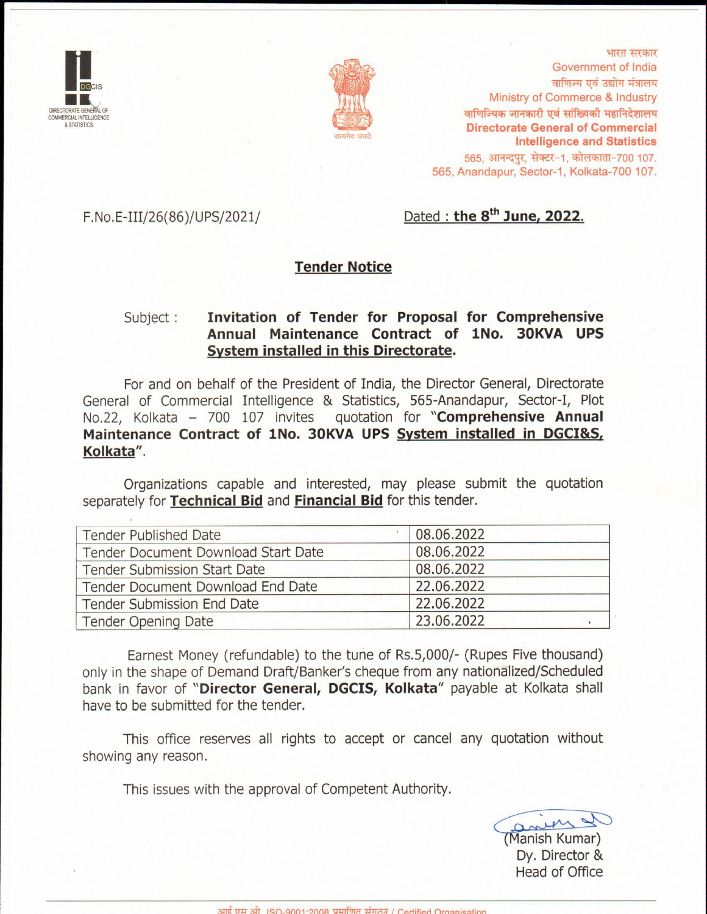



भारत सरकार Government of India वाणिज्य एवं उद्योग मंत्रालय Ministry of Commerce & Industry वाणिज्यिक जानकारी एवं सांख्यिकी महानिदेशालय **Directorate General of Commercial Intelligence and Statistics** 565, आनन्दपुर, सेक्टर-1, कोलकाता-700 107. 565, Anandapur, Sector-1, Kolkata-700 107.

F.No.E-III/26(86)/UPS/2021/

#### Dated : the 8<sup>th</sup> June, 2022.

#### **Tender Notice**

#### Invitation of Tender for Proposal for Comprehensive Subject : Annual Maintenance Contract of 1No. 30KVA UPS System installed in this Directorate.

For and on behalf of the President of India, the Director General, Directorate General of Commercial Intelligence & Statistics, 565-Anandapur, Sector-I, Plot No.22, Kolkata - 700 107 invites quotation for "Comprehensive Annual Maintenance Contract of 1No. 30KVA UPS System installed in DGCI&S, Kolkata".

Organizations capable and interested, may please submit the quotation separately for Technical Bid and Financial Bid for this tender.

| <b>Tender Published Date</b>        | 08.06.2022 |
|-------------------------------------|------------|
| Tender Document Download Start Date | 08.06.2022 |
| <b>Tender Submission Start Date</b> | 08.06.2022 |
| Tender Document Download End Date   | 22.06.2022 |
| Tender Submission End Date          | 22.06.2022 |
| <b>Tender Opening Date</b>          | 23.06.2022 |

Earnest Money (refundable) to the tune of Rs.5,000/- (Rupes Five thousand) only in the shape of Demand Draft/Banker's cheque from any nationalized/Scheduled bank in favor of "Director General, DGCIS, Kolkata" payable at Kolkata shall have to be submitted for the tender.

This office reserves all rights to accept or cancel any quotation without showing any reason.

This issues with the approval of Competent Authority.

aney  $\sim$ Manish Kumar) Dy. Director & **Head of Office**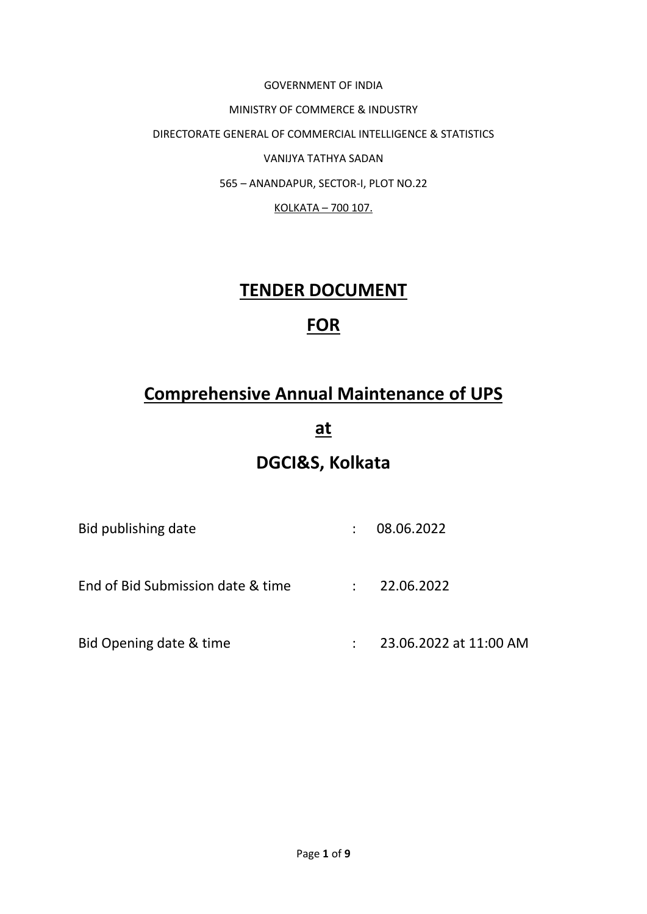GOVERNMENT OF INDIA MINISTRY OF COMMERCE & INDUSTRY DIRECTORATE GENERAL OF COMMERCIAL INTELLIGENCE & STATISTICS VANIJYA TATHYA SADAN 565 – ANANDAPUR, SECTOR-I, PLOT NO.22 KOLKATA – 700 107.

### **TENDER DOCUMENT**

# **FOR**

# **Comprehensive Annual Maintenance of UPS**

**at**

# **DGCI&S, Kolkata**

| Bid publishing date               | 08.06.2022             |
|-----------------------------------|------------------------|
| End of Bid Submission date & time | 22.06.2022             |
| Bid Opening date & time           | 23.06.2022 at 11:00 AM |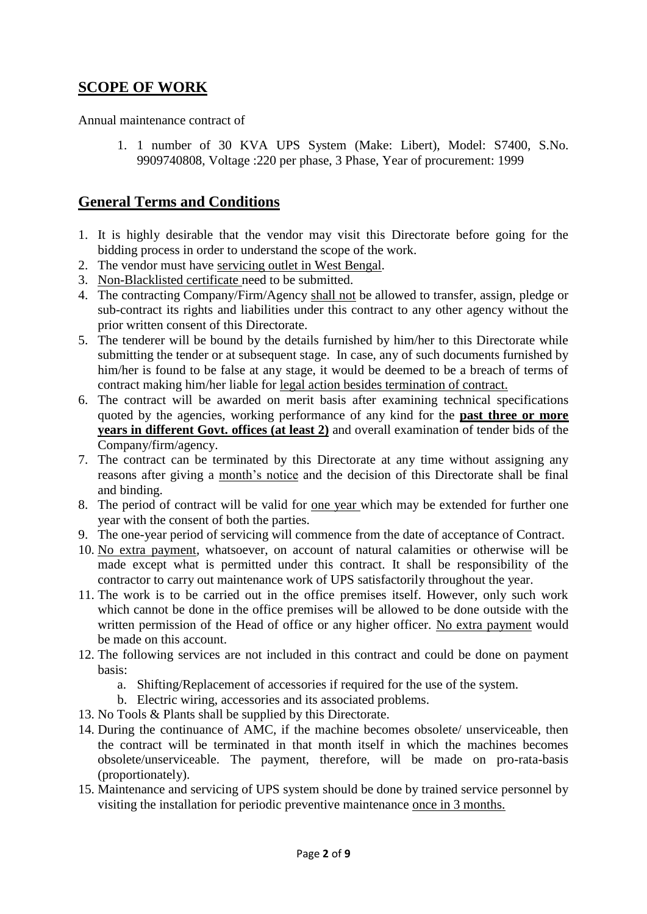### **SCOPE OF WORK**

Annual maintenance contract of

1. 1 number of 30 KVA UPS System (Make: Libert), Model: S7400, S.No. 9909740808, Voltage :220 per phase, 3 Phase, Year of procurement: 1999

#### **General Terms and Conditions**

- 1. It is highly desirable that the vendor may visit this Directorate before going for the bidding process in order to understand the scope of the work.
- 2. The vendor must have servicing outlet in West Bengal.
- 3. Non-Blacklisted certificate need to be submitted.
- 4. The contracting Company/Firm/Agency shall not be allowed to transfer, assign, pledge or sub-contract its rights and liabilities under this contract to any other agency without the prior written consent of this Directorate.
- 5. The tenderer will be bound by the details furnished by him/her to this Directorate while submitting the tender or at subsequent stage. In case, any of such documents furnished by him/her is found to be false at any stage, it would be deemed to be a breach of terms of contract making him/her liable for legal action besides termination of contract.
- 6. The contract will be awarded on merit basis after examining technical specifications quoted by the agencies, working performance of any kind for the **past three or more years in different Govt. offices (at least 2)** and overall examination of tender bids of the Company/firm/agency.
- 7. The contract can be terminated by this Directorate at any time without assigning any reasons after giving a month's notice and the decision of this Directorate shall be final and binding.
- 8. The period of contract will be valid for one year which may be extended for further one year with the consent of both the parties.
- 9. The one-year period of servicing will commence from the date of acceptance of Contract.
- 10. No extra payment, whatsoever, on account of natural calamities or otherwise will be made except what is permitted under this contract. It shall be responsibility of the contractor to carry out maintenance work of UPS satisfactorily throughout the year.
- 11. The work is to be carried out in the office premises itself. However, only such work which cannot be done in the office premises will be allowed to be done outside with the written permission of the Head of office or any higher officer. No extra payment would be made on this account.
- 12. The following services are not included in this contract and could be done on payment basis:
	- a. Shifting/Replacement of accessories if required for the use of the system.
	- b. Electric wiring, accessories and its associated problems.
- 13. No Tools & Plants shall be supplied by this Directorate.
- 14. During the continuance of AMC, if the machine becomes obsolete/ unserviceable, then the contract will be terminated in that month itself in which the machines becomes obsolete/unserviceable. The payment, therefore, will be made on pro-rata-basis (proportionately).
- 15. Maintenance and servicing of UPS system should be done by trained service personnel by visiting the installation for periodic preventive maintenance once in 3 months.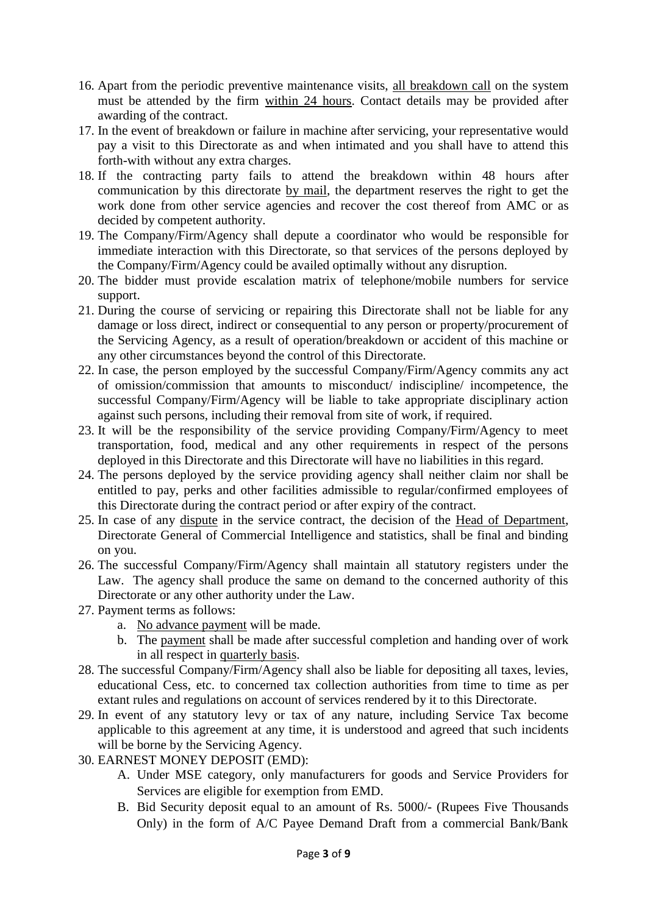- 16. Apart from the periodic preventive maintenance visits, all breakdown call on the system must be attended by the firm within 24 hours. Contact details may be provided after awarding of the contract.
- 17. In the event of breakdown or failure in machine after servicing, your representative would pay a visit to this Directorate as and when intimated and you shall have to attend this forth-with without any extra charges.
- 18. If the contracting party fails to attend the breakdown within 48 hours after communication by this directorate <u>by mail</u>, the department reserves the right to get the work done from other service agencies and recover the cost thereof from AMC or as decided by competent authority.
- 19. The Company/Firm/Agency shall depute a coordinator who would be responsible for immediate interaction with this Directorate, so that services of the persons deployed by the Company/Firm/Agency could be availed optimally without any disruption.
- 20. The bidder must provide escalation matrix of telephone/mobile numbers for service support.
- 21. During the course of servicing or repairing this Directorate shall not be liable for any damage or loss direct, indirect or consequential to any person or property/procurement of the Servicing Agency, as a result of operation/breakdown or accident of this machine or any other circumstances beyond the control of this Directorate.
- 22. In case, the person employed by the successful Company/Firm/Agency commits any act of omission/commission that amounts to misconduct/ indiscipline/ incompetence, the successful Company/Firm/Agency will be liable to take appropriate disciplinary action against such persons, including their removal from site of work, if required.
- 23. It will be the responsibility of the service providing Company/Firm/Agency to meet transportation, food, medical and any other requirements in respect of the persons deployed in this Directorate and this Directorate will have no liabilities in this regard.
- 24. The persons deployed by the service providing agency shall neither claim nor shall be entitled to pay, perks and other facilities admissible to regular/confirmed employees of this Directorate during the contract period or after expiry of the contract.
- 25. In case of any dispute in the service contract, the decision of the Head of Department, Directorate General of Commercial Intelligence and statistics, shall be final and binding on you.
- 26. The successful Company/Firm/Agency shall maintain all statutory registers under the Law. The agency shall produce the same on demand to the concerned authority of this Directorate or any other authority under the Law.
- 27. Payment terms as follows:
	- a. No advance payment will be made.
	- b. The payment shall be made after successful completion and handing over of work in all respect in quarterly basis.
- 28. The successful Company/Firm/Agency shall also be liable for depositing all taxes, levies, educational Cess, etc. to concerned tax collection authorities from time to time as per extant rules and regulations on account of services rendered by it to this Directorate.
- 29. In event of any statutory levy or tax of any nature, including Service Tax become applicable to this agreement at any time, it is understood and agreed that such incidents will be borne by the Servicing Agency.
- 30. EARNEST MONEY DEPOSIT (EMD):
	- A. Under MSE category, only manufacturers for goods and Service Providers for Services are eligible for exemption from EMD.
	- B. Bid Security deposit equal to an amount of Rs. 5000/- (Rupees Five Thousands Only) in the form of A/C Payee Demand Draft from a commercial Bank/Bank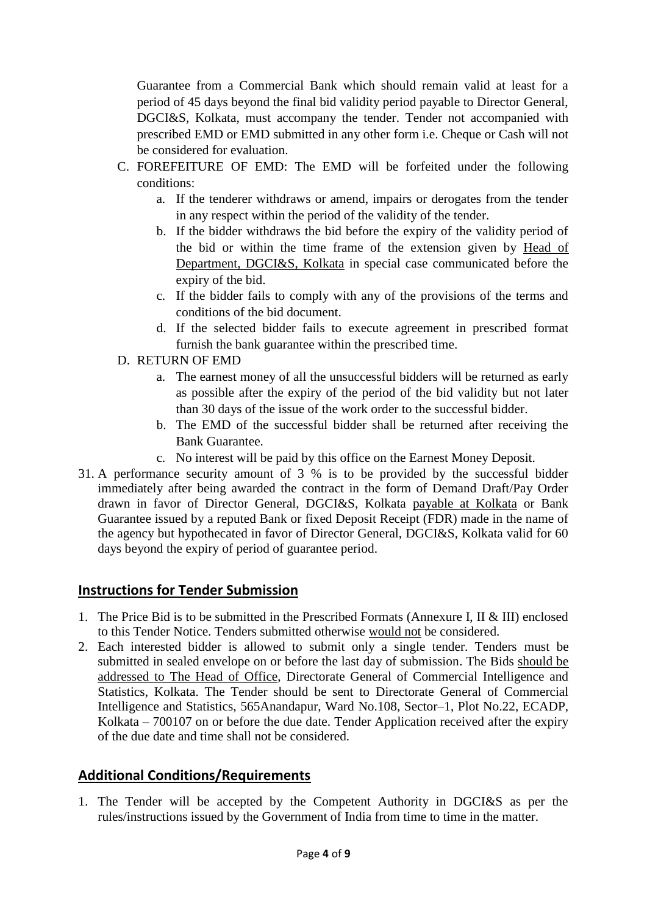Guarantee from a Commercial Bank which should remain valid at least for a period of 45 days beyond the final bid validity period payable to Director General, DGCI&S, Kolkata, must accompany the tender. Tender not accompanied with prescribed EMD or EMD submitted in any other form i.e. Cheque or Cash will not be considered for evaluation.

- C. FOREFEITURE OF EMD: The EMD will be forfeited under the following conditions:
	- a. If the tenderer withdraws or amend, impairs or derogates from the tender in any respect within the period of the validity of the tender.
	- b. If the bidder withdraws the bid before the expiry of the validity period of the bid or within the time frame of the extension given by Head of Department, DGCI&S, Kolkata in special case communicated before the expiry of the bid.
	- c. If the bidder fails to comply with any of the provisions of the terms and conditions of the bid document.
	- d. If the selected bidder fails to execute agreement in prescribed format furnish the bank guarantee within the prescribed time.
- D. RETURN OF EMD
	- a. The earnest money of all the unsuccessful bidders will be returned as early as possible after the expiry of the period of the bid validity but not later than 30 days of the issue of the work order to the successful bidder.
	- b. The EMD of the successful bidder shall be returned after receiving the Bank Guarantee.
	- c. No interest will be paid by this office on the Earnest Money Deposit.
- 31. A performance security amount of 3 % is to be provided by the successful bidder immediately after being awarded the contract in the form of Demand Draft/Pay Order drawn in favor of Director General, DGCI&S, Kolkata payable at Kolkata or Bank Guarantee issued by a reputed Bank or fixed Deposit Receipt (FDR) made in the name of the agency but hypothecated in favor of Director General, DGCI&S, Kolkata valid for 60 days beyond the expiry of period of guarantee period.

#### **Instructions for Tender Submission**

- 1. The Price Bid is to be submitted in the Prescribed Formats (Annexure I, II & III) enclosed to this Tender Notice. Tenders submitted otherwise would not be considered.
- 2. Each interested bidder is allowed to submit only a single tender. Tenders must be submitted in sealed envelope on or before the last day of submission. The Bids should be addressed to The Head of Office, Directorate General of Commercial Intelligence and Statistics, Kolkata. The Tender should be sent to Directorate General of Commercial Intelligence and Statistics, 565Anandapur, Ward No.108, Sector–1, Plot No.22, ECADP, Kolkata – 700107 on or before the due date. Tender Application received after the expiry of the due date and time shall not be considered.

#### **Additional Conditions/Requirements**

1. The Tender will be accepted by the Competent Authority in DGCI&S as per the rules/instructions issued by the Government of India from time to time in the matter.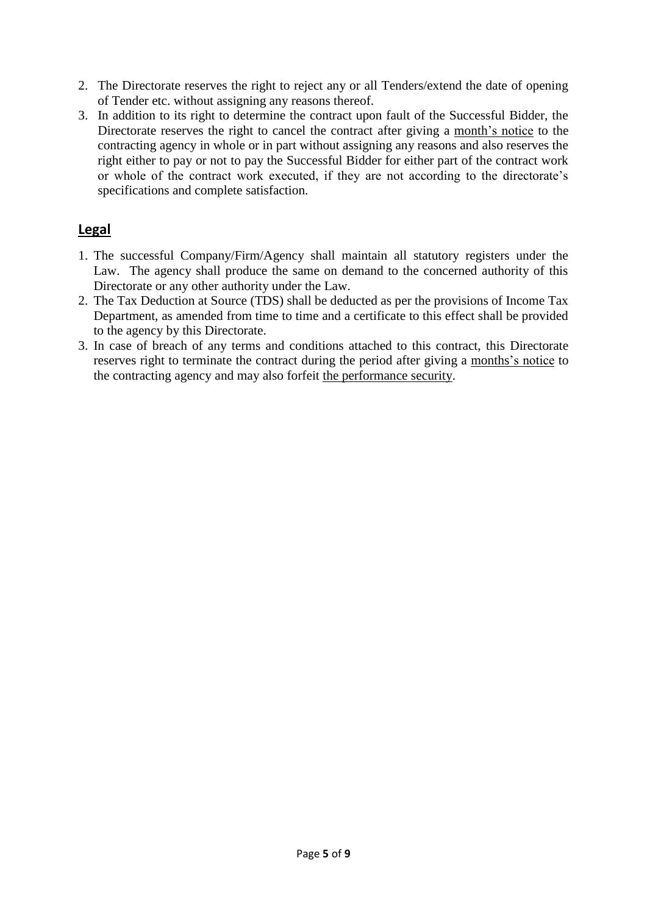- 2. The Directorate reserves the right to reject any or all Tenders/extend the date of opening of Tender etc. without assigning any reasons thereof.
- 3. In addition to its right to determine the contract upon fault of the Successful Bidder, the Directorate reserves the right to cancel the contract after giving a month's notice to the contracting agency in whole or in part without assigning any reasons and also reserves the right either to pay or not to pay the Successful Bidder for either part of the contract work or whole of the contract work executed, if they are not according to the directorate's specifications and complete satisfaction.

#### **Legal**

- 1. The successful Company/Firm/Agency shall maintain all statutory registers under the Law. The agency shall produce the same on demand to the concerned authority of this Directorate or any other authority under the Law.
- 2. The Tax Deduction at Source (TDS) shall be deducted as per the provisions of Income Tax Department, as amended from time to time and a certificate to this effect shall be provided to the agency by this Directorate.
- 3. In case of breach of any terms and conditions attached to this contract, this Directorate reserves right to terminate the contract during the period after giving a months's notice to the contracting agency and may also forfeit the performance security.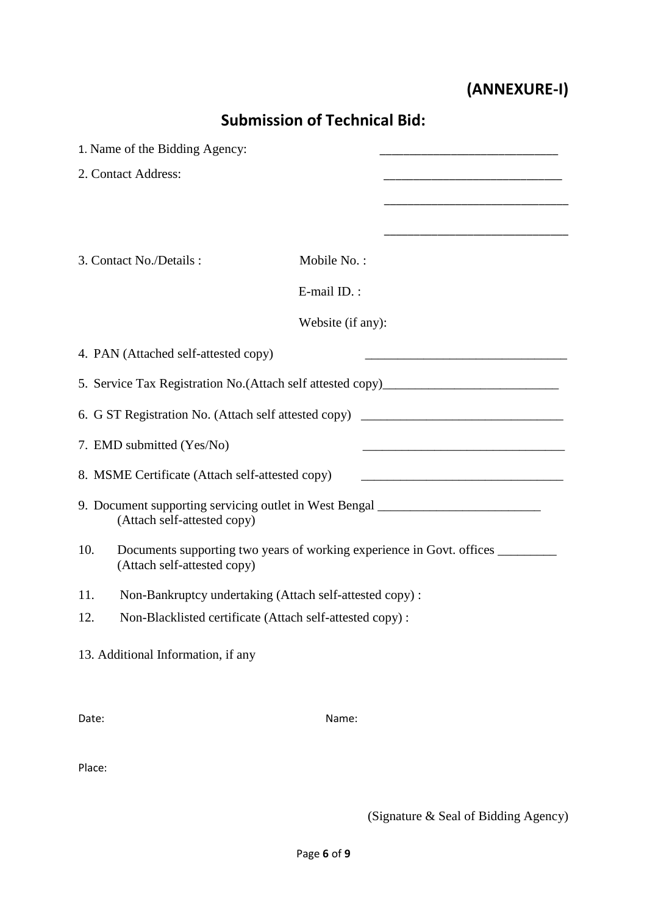# **(ANNEXURE-I)**

| <b>Submission of Technical Bid:</b> |                                                                                                                 |                   |                                                                                                                      |  |  |
|-------------------------------------|-----------------------------------------------------------------------------------------------------------------|-------------------|----------------------------------------------------------------------------------------------------------------------|--|--|
|                                     | 1. Name of the Bidding Agency:                                                                                  |                   |                                                                                                                      |  |  |
|                                     | 2. Contact Address:                                                                                             |                   |                                                                                                                      |  |  |
|                                     |                                                                                                                 |                   |                                                                                                                      |  |  |
|                                     |                                                                                                                 |                   | the control of the control of the control of the control of the control of the control of                            |  |  |
|                                     | 3. Contact No./Details:                                                                                         | Mobile No.:       |                                                                                                                      |  |  |
|                                     |                                                                                                                 | E-mail ID.:       |                                                                                                                      |  |  |
|                                     |                                                                                                                 | Website (if any): |                                                                                                                      |  |  |
|                                     | 4. PAN (Attached self-attested copy)                                                                            |                   |                                                                                                                      |  |  |
|                                     |                                                                                                                 |                   | 5. Service Tax Registration No.(Attach self attested copy)______________________                                     |  |  |
|                                     |                                                                                                                 |                   | 6. G ST Registration No. (Attach self attested copy) ____________________________                                    |  |  |
|                                     | 7. EMD submitted (Yes/No)                                                                                       |                   | <u> 1989 - Johann Barbara, martin da basar a shekara tsa 1980 - An tsa 1980 - An tsa 1980 - An tsa 1980 - An tsa</u> |  |  |
|                                     | 8. MSME Certificate (Attach self-attested copy)                                                                 |                   |                                                                                                                      |  |  |
|                                     | 9. Document supporting servicing outlet in West Bengal _________________________<br>(Attach self-attested copy) |                   |                                                                                                                      |  |  |
| 10.                                 | (Attach self-attested copy)                                                                                     |                   | Documents supporting two years of working experience in Govt. offices __________                                     |  |  |
| 11.                                 | Non-Bankruptcy undertaking (Attach self-attested copy):                                                         |                   |                                                                                                                      |  |  |
| 12.                                 | Non-Blacklisted certificate (Attach self-attested copy):                                                        |                   |                                                                                                                      |  |  |
|                                     | 13. Additional Information, if any                                                                              |                   |                                                                                                                      |  |  |
| Date:                               |                                                                                                                 | Name:             |                                                                                                                      |  |  |

Place:

(Signature & Seal of Bidding Agency)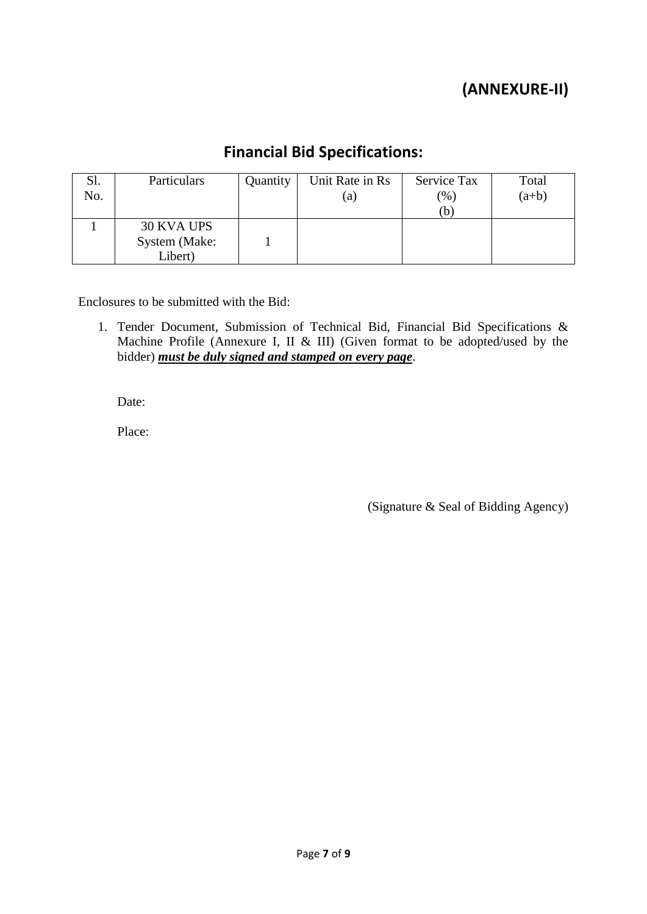## **(ANNEXURE-II)**

### **Financial Bid Specifications:**

| Sl. | Particulars   | Quantity | Unit Rate in Rs   | Service Tax             | Total   |
|-----|---------------|----------|-------------------|-------------------------|---------|
| No. |               |          | $\left( a\right)$ | $\gamma$ <sup>(6)</sup> | $(a+b)$ |
|     |               |          |                   | (b                      |         |
|     | 30 KVA UPS    |          |                   |                         |         |
|     | System (Make: |          |                   |                         |         |
|     | Libert)       |          |                   |                         |         |

Enclosures to be submitted with the Bid:

1. Tender Document, Submission of Technical Bid, Financial Bid Specifications & Machine Profile (Annexure I, II & III) (Given format to be adopted/used by the bidder) *must be duly signed and stamped on every page*.

Date:

Place:

(Signature & Seal of Bidding Agency)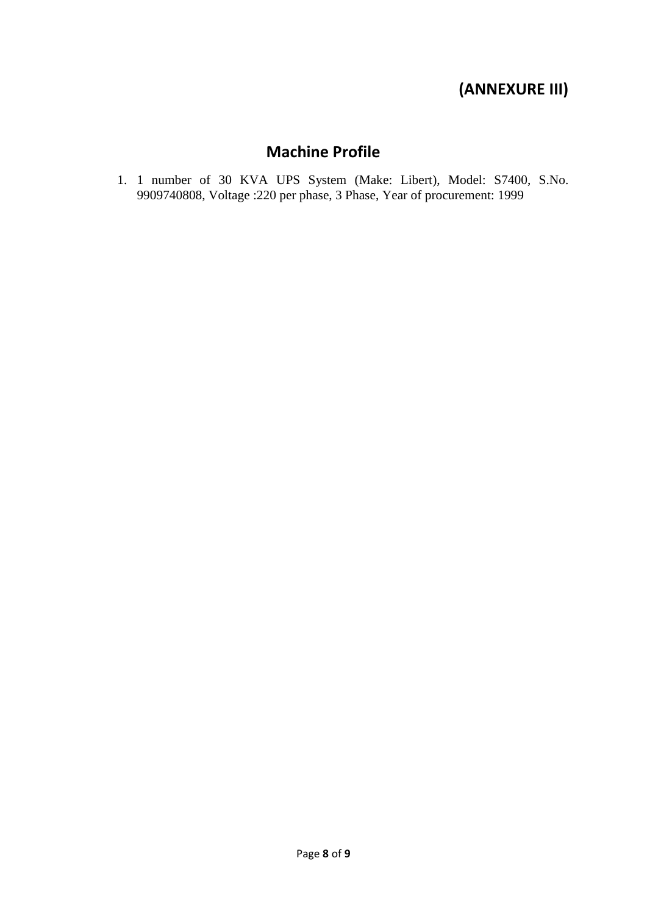### **(ANNEXURE III)**

### **Machine Profile**

1. 1 number of 30 KVA UPS System (Make: Libert), Model: S7400, S.No. 9909740808, Voltage :220 per phase, 3 Phase, Year of procurement: 1999